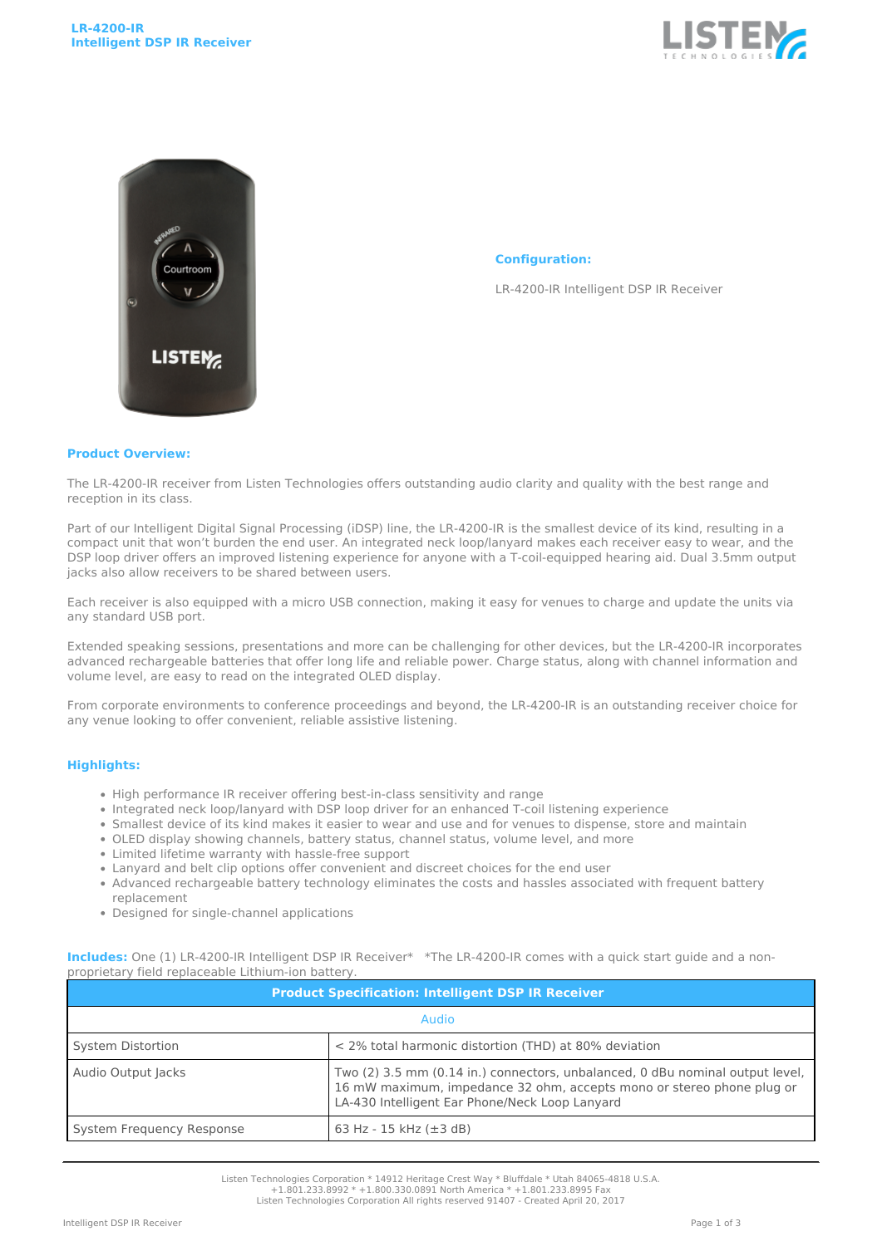



## **Configuration:**

LR-4200-IR Intelligent DSP IR Receiver

## **Product Overview:**

The LR-4200-IR receiver from Listen Technologies offers outstanding audio clarity and quality with the best range and reception in its class.

Part of our Intelligent Digital Signal Processing (iDSP) line, the LR-4200-IR is the smallest device of its kind, resulting in a compact unit that won't burden the end user. An integrated neck loop/lanyard makes each receiver easy to wear, and the DSP loop driver offers an improved listening experience for anyone with a T-coil-equipped hearing aid. Dual 3.5mm output jacks also allow receivers to be shared between users.

Each receiver is also equipped with a micro USB connection, making it easy for venues to charge and update the units via any standard USB port.

Extended speaking sessions, presentations and more can be challenging for other devices, but the LR-4200-IR incorporates advanced rechargeable batteries that offer long life and reliable power. Charge status, along with channel information and volume level, are easy to read on the integrated OLED display.

From corporate environments to conference proceedings and beyond, the LR-4200-IR is an outstanding receiver choice for any venue looking to offer convenient, reliable assistive listening.

## **Highlights:**

- High performance IR receiver offering best-in-class sensitivity and range
- Integrated neck loop/lanyard with DSP loop driver for an enhanced T-coil listening experience
- Smallest device of its kind makes it easier to wear and use and for venues to dispense, store and maintain
- OLED display showing channels, battery status, channel status, volume level, and more
- Limited lifetime warranty with hassle-free support
- Lanyard and belt clip options offer convenient and discreet choices for the end user
- Advanced rechargeable battery technology eliminates the costs and hassles associated with frequent battery replacement
- Designed for single-channel applications

| <b>Product Specification: Intelligent DSP IR Receiver</b> |                                                                                                                                                                                                          |  |
|-----------------------------------------------------------|----------------------------------------------------------------------------------------------------------------------------------------------------------------------------------------------------------|--|
| Audio                                                     |                                                                                                                                                                                                          |  |
| System Distortion                                         | < 2% total harmonic distortion (THD) at 80% deviation                                                                                                                                                    |  |
| Audio Output Jacks                                        | Two (2) 3.5 mm (0.14 in.) connectors, unbalanced, 0 dBu nominal output level,<br>16 mW maximum, impedance 32 ohm, accepts mono or stereo phone plug or<br>LA-430 Intelligent Ear Phone/Neck Loop Lanyard |  |
| System Frequency Response                                 | 63 Hz - 15 kHz $(\pm 3$ dB)                                                                                                                                                                              |  |

**Includes:** One (1) LR-4200-IR Intelligent DSP IR Receiver\* \*The LR-4200-IR comes with a quick start guide and a nonproprietary field replaceable Lithium-ion battery.

Listen Technologies Corporation \* 14912 Heritage Crest Way \* Bluffdale \* Utah 84065-4818 U.S.A.

+1.801.233.8992 \* +1.800.330.0891 North America \* +1.801.233.8995 Fax Listen Technologies Corporation All rights reserved 91407 - Created April 20, 2017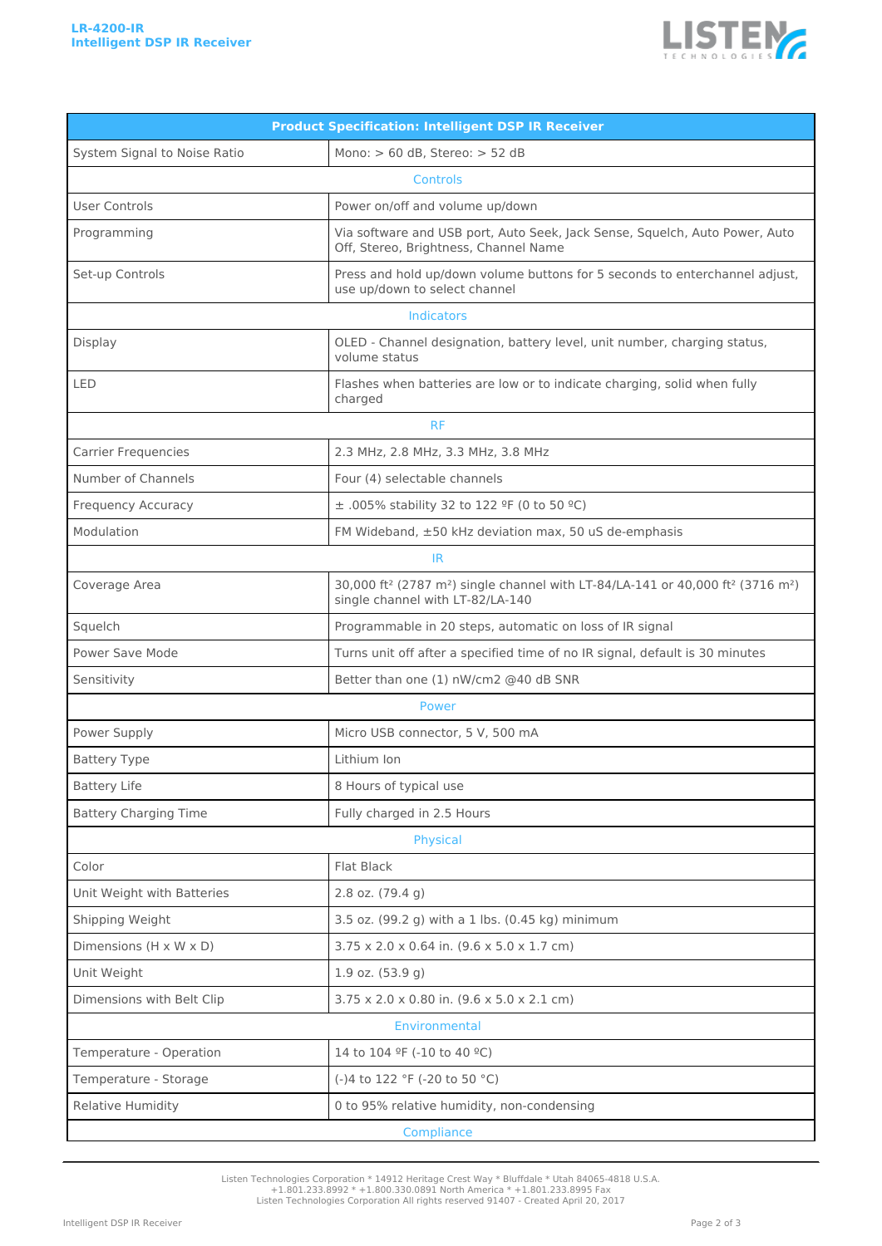

| <b>Product Specification: Intelligent DSP IR Receiver</b> |                                                                                                                                                                     |  |  |
|-----------------------------------------------------------|---------------------------------------------------------------------------------------------------------------------------------------------------------------------|--|--|
| System Signal to Noise Ratio                              | Mono: > 60 dB, Stereo: > 52 dB                                                                                                                                      |  |  |
| <b>Controls</b>                                           |                                                                                                                                                                     |  |  |
| <b>User Controls</b>                                      | Power on/off and volume up/down                                                                                                                                     |  |  |
| Programming                                               | Via software and USB port, Auto Seek, Jack Sense, Squelch, Auto Power, Auto<br>Off, Stereo, Brightness, Channel Name                                                |  |  |
| Set-up Controls                                           | Press and hold up/down volume buttons for 5 seconds to enterchannel adjust,<br>use up/down to select channel                                                        |  |  |
| Indicators                                                |                                                                                                                                                                     |  |  |
| Display                                                   | OLED - Channel designation, battery level, unit number, charging status,<br>volume status                                                                           |  |  |
| LED                                                       | Flashes when batteries are low or to indicate charging, solid when fully<br>charged                                                                                 |  |  |
| <b>RF</b>                                                 |                                                                                                                                                                     |  |  |
| <b>Carrier Frequencies</b>                                | 2.3 MHz, 2.8 MHz, 3.3 MHz, 3.8 MHz                                                                                                                                  |  |  |
| Number of Channels                                        | Four (4) selectable channels                                                                                                                                        |  |  |
| Frequency Accuracy                                        | ± .005% stability 32 to 122 °F (0 to 50 °C)                                                                                                                         |  |  |
| Modulation                                                | FM Wideband, ±50 kHz deviation max, 50 uS de-emphasis                                                                                                               |  |  |
| IR.                                                       |                                                                                                                                                                     |  |  |
| Coverage Area                                             | 30,000 ft <sup>2</sup> (2787 m <sup>2</sup> ) single channel with LT-84/LA-141 or 40,000 ft <sup>2</sup> (3716 m <sup>2</sup> )<br>single channel with LT-82/LA-140 |  |  |
| Squelch                                                   | Programmable in 20 steps, automatic on loss of IR signal                                                                                                            |  |  |
| Power Save Mode                                           | Turns unit off after a specified time of no IR signal, default is 30 minutes                                                                                        |  |  |
| Sensitivity                                               | Better than one (1) nW/cm2 @40 dB SNR                                                                                                                               |  |  |
| Power                                                     |                                                                                                                                                                     |  |  |
| Power Supply                                              | Micro USB connector, 5 V, 500 mA                                                                                                                                    |  |  |
| <b>Battery Type</b>                                       | Lithium Ion                                                                                                                                                         |  |  |
| <b>Battery Life</b>                                       | 8 Hours of typical use                                                                                                                                              |  |  |
| <b>Battery Charging Time</b>                              | Fully charged in 2.5 Hours                                                                                                                                          |  |  |
| Physical                                                  |                                                                                                                                                                     |  |  |
| Color                                                     | Flat Black                                                                                                                                                          |  |  |
| Unit Weight with Batteries                                | $2.8$ oz. $(79.4$ g)                                                                                                                                                |  |  |
| Shipping Weight                                           | 3.5 oz. (99.2 g) with a 1 lbs. (0.45 kg) minimum                                                                                                                    |  |  |
| Dimensions (H x W x D)                                    | $3.75 \times 2.0 \times 0.64$ in. $(9.6 \times 5.0 \times 1.7$ cm)                                                                                                  |  |  |
| Unit Weight                                               | $1.9$ oz. $(53.9q)$                                                                                                                                                 |  |  |
| Dimensions with Belt Clip                                 | 3.75 x 2.0 x 0.80 in. (9.6 x 5.0 x 2.1 cm)                                                                                                                          |  |  |
| Environmental                                             |                                                                                                                                                                     |  |  |
| Temperature - Operation                                   | 14 to 104 °F (-10 to 40 °C)                                                                                                                                         |  |  |
| Temperature - Storage                                     | (-)4 to 122 °F (-20 to 50 °C)                                                                                                                                       |  |  |
| Relative Humidity                                         | 0 to 95% relative humidity, non-condensing                                                                                                                          |  |  |
|                                                           | Compliance                                                                                                                                                          |  |  |

Listen Technologies Corporation \* 14912 Heritage Crest Way \* Bluffdale \* Utah 84065-4818 U.S.A. +1.801.233.8992 \* +1.800.330.0891 North America \* +1.801.233.8995 Fax Listen Technologies Corporation All rights reserved 91407 - Created April 20, 2017